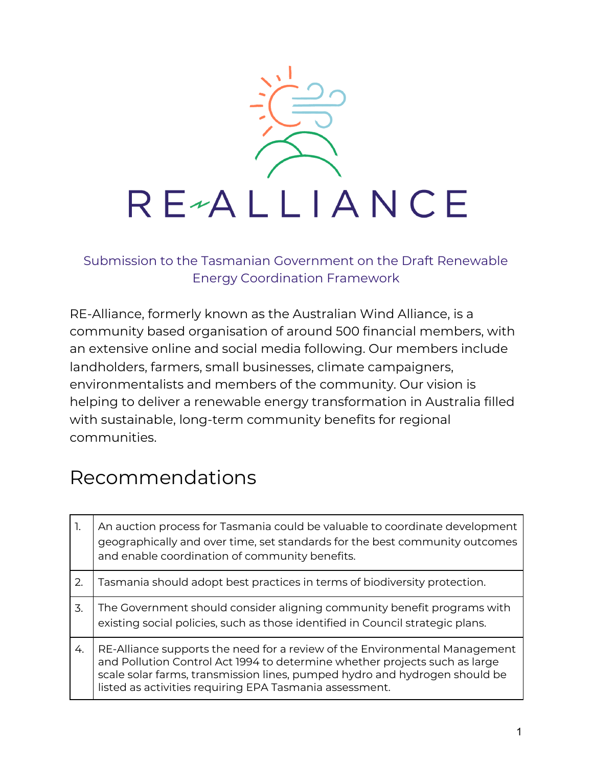

Submission to the Tasmanian Government on the Draft Renewable Energy Coordination Framework

RE-Alliance, formerly known as the Australian Wind Alliance, is a community based organisation of around 500 financial members, with an extensive online and social media following. Our members include landholders, farmers, small businesses, climate campaigners, environmentalists and members of the community. Our vision is helping to deliver a renewable energy transformation in Australia filled with sustainable, long-term community benefits for regional communities.

# Recommendations

| 1. | An auction process for Tasmania could be valuable to coordinate development<br>geographically and over time, set standards for the best community outcomes<br>and enable coordination of community benefits.                                                                                      |
|----|---------------------------------------------------------------------------------------------------------------------------------------------------------------------------------------------------------------------------------------------------------------------------------------------------|
| 2. | Tasmania should adopt best practices in terms of biodiversity protection.                                                                                                                                                                                                                         |
| 3. | The Government should consider aligning community benefit programs with<br>existing social policies, such as those identified in Council strategic plans.                                                                                                                                         |
| 4. | RE-Alliance supports the need for a review of the Environmental Management<br>and Pollution Control Act 1994 to determine whether projects such as large<br>scale solar farms, transmission lines, pumped hydro and hydrogen should be<br>listed as activities requiring EPA Tasmania assessment. |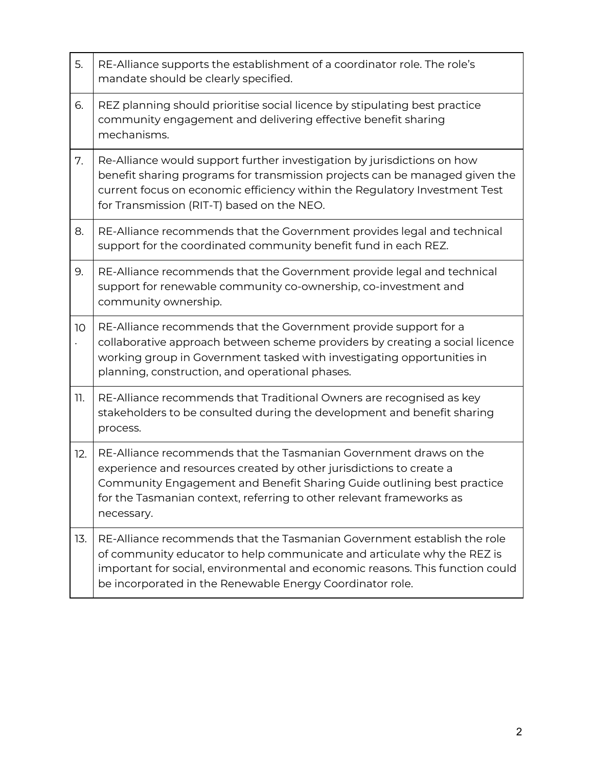| 5.  | RE-Alliance supports the establishment of a coordinator role. The role's<br>mandate should be clearly specified.                                                                                                                                                                                         |
|-----|----------------------------------------------------------------------------------------------------------------------------------------------------------------------------------------------------------------------------------------------------------------------------------------------------------|
| 6.  | REZ planning should prioritise social licence by stipulating best practice<br>community engagement and delivering effective benefit sharing<br>mechanisms.                                                                                                                                               |
| 7.  | Re-Alliance would support further investigation by jurisdictions on how<br>benefit sharing programs for transmission projects can be managed given the<br>current focus on economic efficiency within the Regulatory Investment Test<br>for Transmission (RIT-T) based on the NEO.                       |
| 8.  | RE-Alliance recommends that the Government provides legal and technical<br>support for the coordinated community benefit fund in each REZ.                                                                                                                                                               |
| 9.  | RE-Alliance recommends that the Government provide legal and technical<br>support for renewable community co-ownership, co-investment and<br>community ownership.                                                                                                                                        |
| 10  | RE-Alliance recommends that the Government provide support for a<br>collaborative approach between scheme providers by creating a social licence<br>working group in Government tasked with investigating opportunities in<br>planning, construction, and operational phases.                            |
| 11. | RE-Alliance recommends that Traditional Owners are recognised as key<br>stakeholders to be consulted during the development and benefit sharing<br>process.                                                                                                                                              |
| 12. | RE-Alliance recommends that the Tasmanian Government draws on the<br>experience and resources created by other jurisdictions to create a<br>Community Engagement and Benefit Sharing Guide outlining best practice<br>for the Tasmanian context, referring to other relevant frameworks as<br>necessary. |
| 13. | RE-Alliance recommends that the Tasmanian Government establish the role<br>of community educator to help communicate and articulate why the REZ is<br>important for social, environmental and economic reasons. This function could<br>be incorporated in the Renewable Energy Coordinator role.         |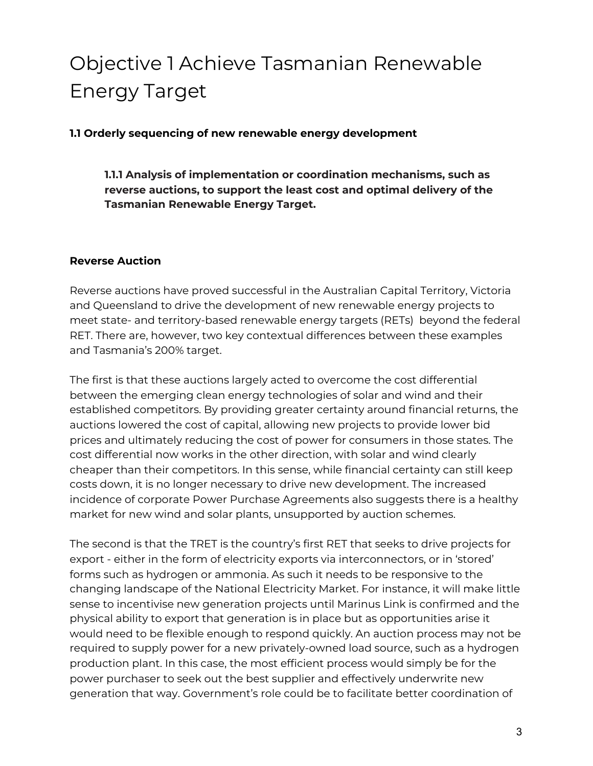# Objective 1 Achieve Tasmanian Renewable Energy Target

**1.1 Orderly sequencing of new renewable energy development**

**1.1.1 Analysis of implementation or coordination mechanisms, such as reverse auctions, to support the least cost and optimal delivery of the Tasmanian Renewable Energy Target.**

### **Reverse Auction**

Reverse auctions have proved successful in the Australian Capital Territory, Victoria and Queensland to drive the development of new renewable energy projects to meet state- and territory-based renewable energy targets (RETs) beyond the federal RET. There are, however, two key contextual differences between these examples and Tasmania's 200% target.

The first is that these auctions largely acted to overcome the cost differential between the emerging clean energy technologies of solar and wind and their established competitors. By providing greater certainty around financial returns, the auctions lowered the cost of capital, allowing new projects to provide lower bid prices and ultimately reducing the cost of power for consumers in those states. The cost differential now works in the other direction, with solar and wind clearly cheaper than their competitors. In this sense, while financial certainty can still keep costs down, it is no longer necessary to drive new development. The increased incidence of corporate Power Purchase Agreements also suggests there is a healthy market for new wind and solar plants, unsupported by auction schemes.

The second is that the TRET is the country's first RET that seeks to drive projects for export - either in the form of electricity exports via interconnectors, or in 'stored' forms such as hydrogen or ammonia. As such it needs to be responsive to the changing landscape of the National Electricity Market. For instance, it will make little sense to incentivise new generation projects until Marinus Link is confirmed and the physical ability to export that generation is in place but as opportunities arise it would need to be flexible enough to respond quickly. An auction process may not be required to supply power for a new privately-owned load source, such as a hydrogen production plant. In this case, the most efficient process would simply be for the power purchaser to seek out the best supplier and effectively underwrite new generation that way. Government's role could be to facilitate better coordination of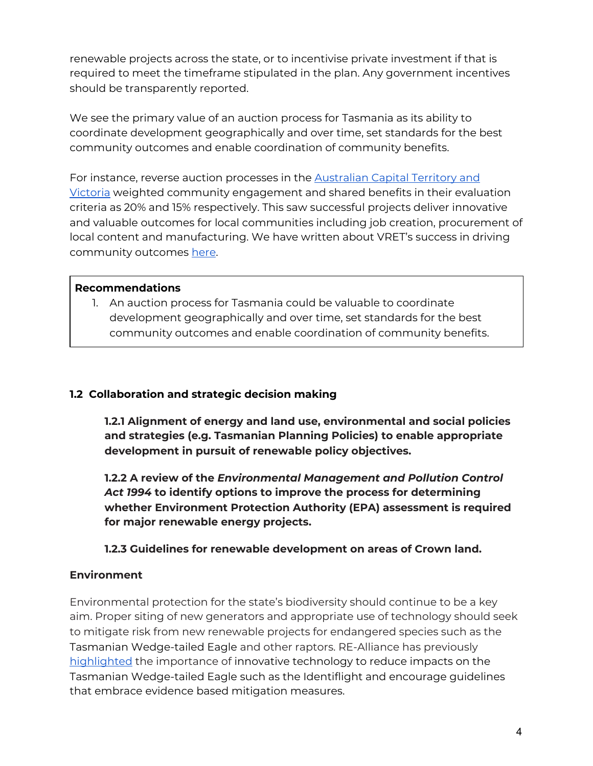renewable projects across the state, or to incentivise private investment if that is required to meet the timeframe stipulated in the plan. Any government incentives should be transparently reported.

We see the primary value of an auction process for Tasmania as its ability to coordinate development geographically and over time, set standards for the best community outcomes and enable coordination of community benefits.

For instance, reverse auction processes in the [Australian](https://www.re-alliance.org.au/3_big_conversations_on_wind_energy_in_the_regions) Capital Territory and [Victoria](https://www.re-alliance.org.au/3_big_conversations_on_wind_energy_in_the_regions) weighted community engagement and shared benefits in their evaluation criteria as 20% and 15% respectively. This saw successful projects deliver innovative and valuable outcomes for local communities including job creation, procurement of local content and manufacturing. We have written about VRET's success in driving community outcomes [here](https://www.re-alliance.org.au/regional_victoria_s_opportunity_from_vret_2).

### **Recommendations**

1. An auction process for Tasmania could be valuable to coordinate development geographically and over time, set standards for the best community outcomes and enable coordination of community benefits.

# **1.2 Collaboration and strategic decision making**

**1.2.1 Alignment of energy and land use, environmental and social policies and strategies (e.g. Tasmanian Planning Policies) to enable appropriate development in pursuit of renewable policy objectives.**

**1.2.2 A review of the** *Environmental Management and Pollution Control Act 1994* **to identify options to improve the process for determining whether Environment Protection Authority (EPA) assessment is required for major renewable energy projects.**

# **1.2.3 Guidelines for renewable development on areas of Crown land.**

# **Environment**

Environmental protection for the state's biodiversity should continue to be a key aim. Proper siting of new generators and appropriate use of technology should seek to mitigate risk from new renewable projects for endangered species such as the Tasmanian Wedge-tailed Eagle and other raptors. RE-Alliance has previously [highlighted](https://www.re-alliance.org.au/identiflight_technology) the importance of innovative technology to reduce impacts on the Tasmanian Wedge-tailed Eagle such as the Identiflight and encourage guidelines that embrace evidence based mitigation measures.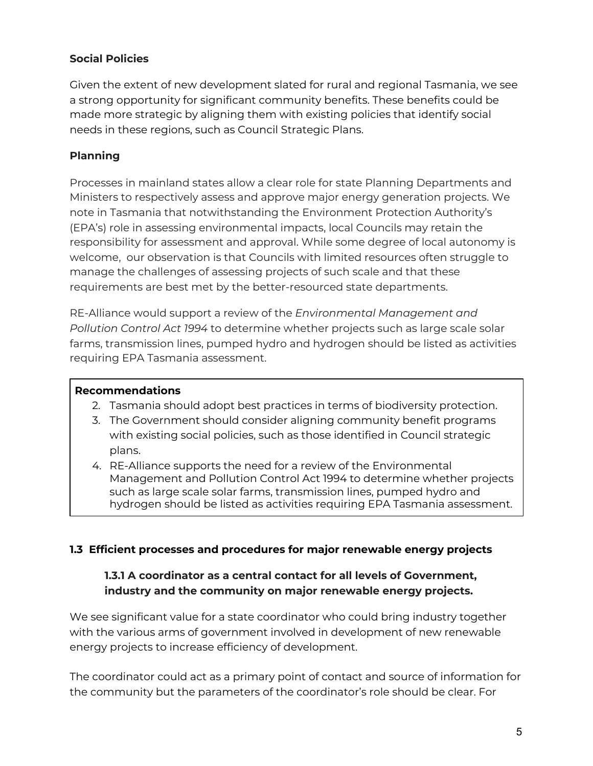# **Social Policies**

Given the extent of new development slated for rural and regional Tasmania, we see a strong opportunity for significant community benefits. These benefits could be made more strategic by aligning them with existing policies that identify social needs in these regions, such as Council Strategic Plans.

# **Planning**

Processes in mainland states allow a clear role for state Planning Departments and Ministers to respectively assess and approve major energy generation projects. We note in Tasmania that notwithstanding the Environment Protection Authority's (EPA's) role in assessing environmental impacts, local Councils may retain the responsibility for assessment and approval. While some degree of local autonomy is welcome, our observation is that Councils with limited resources often struggle to manage the challenges of assessing projects of such scale and that these requirements are best met by the better-resourced state departments.

RE-Alliance would support a review of the *Environmental Management and Pollution Control Act 1994* to determine whether projects such as large scale solar farms, transmission lines, pumped hydro and hydrogen should be listed as activities requiring EPA Tasmania assessment.

# **Recommendations**

- 2. Tasmania should adopt best practices in terms of biodiversity protection.
- 3. The Government should consider aligning community benefit programs with existing social policies, such as those identified in Council strategic plans.
- 4. RE-Alliance supports the need for a review of the Environmental Management and Pollution Control Act 1994 to determine whether projects such as large scale solar farms, transmission lines, pumped hydro and hydrogen should be listed as activities requiring EPA Tasmania assessment.

# **1.3 Efficient processes and procedures for major renewable energy projects**

# **1.3.1 A coordinator as a central contact for all levels of Government, industry and the community on major renewable energy projects.**

We see significant value for a state coordinator who could bring industry together with the various arms of government involved in development of new renewable energy projects to increase efficiency of development.

The coordinator could act as a primary point of contact and source of information for the community but the parameters of the coordinator's role should be clear. For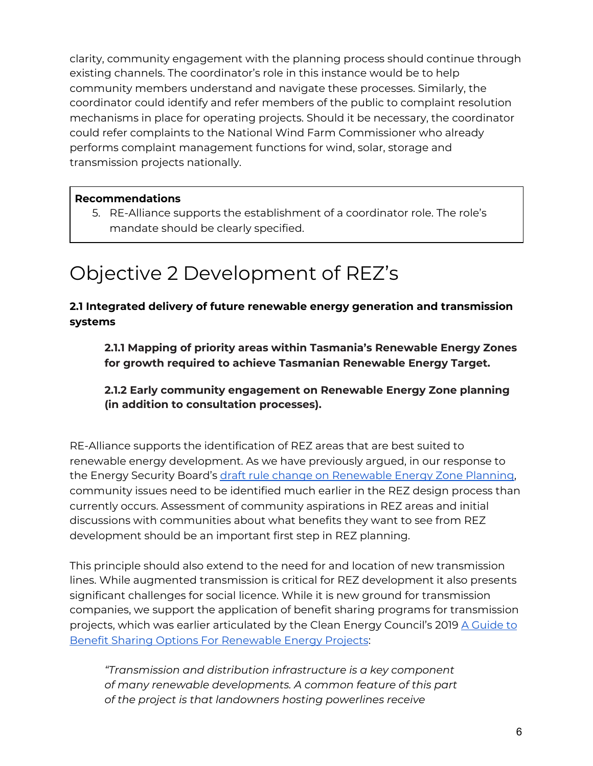clarity, community engagement with the planning process should continue through existing channels. The coordinator's role in this instance would be to help community members understand and navigate these processes. Similarly, the coordinator could identify and refer members of the public to complaint resolution mechanisms in place for operating projects. Should it be necessary, the coordinator could refer complaints to the National Wind Farm Commissioner who already performs complaint management functions for wind, solar, storage and transmission projects nationally.

# **Recommendations**

5. RE-Alliance supports the establishment of a coordinator role. The role's mandate should be clearly specified.

# Objective 2 Development of REZ's

# **2.1 Integrated delivery of future renewable energy generation and transmission systems**

**2.1.1 Mapping of priority areas within Tasmania's Renewable Energy Zones for growth required to achieve Tasmanian Renewable Energy Target.**

# **2.1.2 Early community engagement on Renewable Energy Zone planning (in addition to consultation processes).**

RE-Alliance supports the identification of REZ areas that are best suited to renewable energy development. As we have previously argued, in our response to the Energy Security Board's draft rule change on [Renewable](https://www.re-alliance.org.au/submission_esb_rez_planning_rule_change) Energy Zone Planning, community issues need to be identified much earlier in the REZ design process than currently occurs. Assessment of community aspirations in REZ areas and initial discussions with communities about what benefits they want to see from REZ development should be an important first step in REZ planning.

This principle should also extend to the need for and location of new transmission lines. While augmented transmission is critical for REZ development it also presents significant challenges for social licence. While it is new ground for transmission companies, we support the application of benefit sharing programs for transmission projects, which was earlier articulated by the Clean Energy Council's 2019 A [Guide](https://assets.cleanenergycouncil.org.au/documents/advocacy-initiatives/community-engagement/guide-to-benefit-sharing-options-for-renewable-energy-projects.pdf) to Benefit Sharing Options For [Renewable](https://assets.cleanenergycouncil.org.au/documents/advocacy-initiatives/community-engagement/guide-to-benefit-sharing-options-for-renewable-energy-projects.pdf) Energy Projects:

*"Transmission and distribution infrastructure is a key component of many renewable developments. A common feature of this part of the project is that landowners hosting powerlines receive*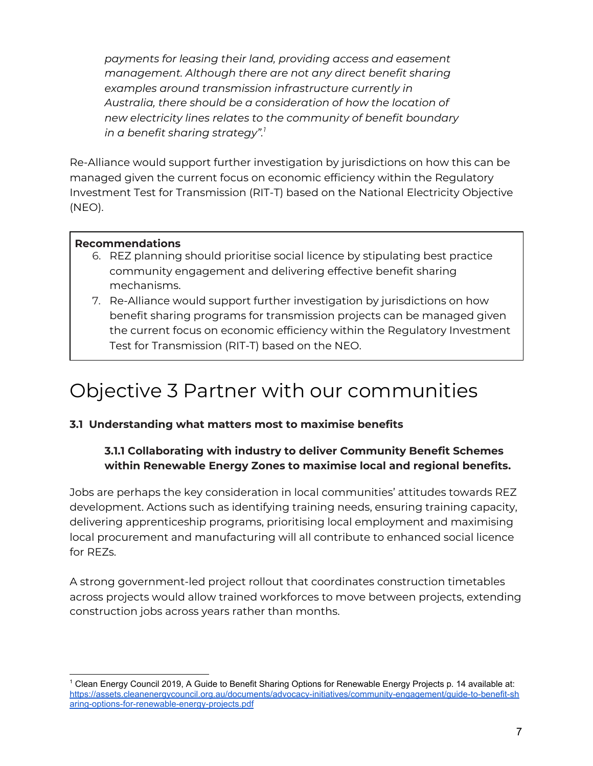*payments for leasing their land, providing access and easement management. Although there are not any direct benefit sharing examples around transmission infrastructure currently in Australia, there should be a consideration of how the location of new electricity lines relates to the community of benefit boundary in a benefit sharing strategy". 1*

Re-Alliance would support further investigation by jurisdictions on how this can be managed given the current focus on economic efficiency within the Regulatory Investment Test for Transmission (RIT-T) based on the National Electricity Objective (NEO).

### **Recommendations**

- 6. REZ planning should prioritise social licence by stipulating best practice community engagement and delivering effective benefit sharing mechanisms.
- 7. Re-Alliance would support further investigation by jurisdictions on how benefit sharing programs for transmission projects can be managed given the current focus on economic efficiency within the Regulatory Investment Test for Transmission (RIT-T) based on the NEO.

# Objective 3 Partner with our communities

### **3.1 Understanding what matters most to maximise benefits**

# **3.1.1 Collaborating with industry to deliver Community Benefit Schemes within Renewable Energy Zones to maximise local and regional benefits.**

Jobs are perhaps the key consideration in local communities' attitudes towards REZ development. Actions such as identifying training needs, ensuring training capacity, delivering apprenticeship programs, prioritising local employment and maximising local procurement and manufacturing will all contribute to enhanced social licence for RF<sub>7s</sub>.

A strong government-led project rollout that coordinates construction timetables across projects would allow trained workforces to move between projects, extending construction jobs across years rather than months.

<sup>&</sup>lt;sup>1</sup> Clean Energy Council 2019, A Guide to Benefit Sharing Options for Renewable Energy Projects p. 14 available at: [https://assets.cleanenergycouncil.org.au/documents/advocacy-initiatives/community-engagement/guide-to-benefit-sh](https://assets.cleanenergycouncil.org.au/documents/advocacy-initiatives/community-engagement/guide-to-benefit-sharing-options-for-renewable-energy-projects.pdf) [aring-options-for-renewable-energy-projects.pdf](https://assets.cleanenergycouncil.org.au/documents/advocacy-initiatives/community-engagement/guide-to-benefit-sharing-options-for-renewable-energy-projects.pdf)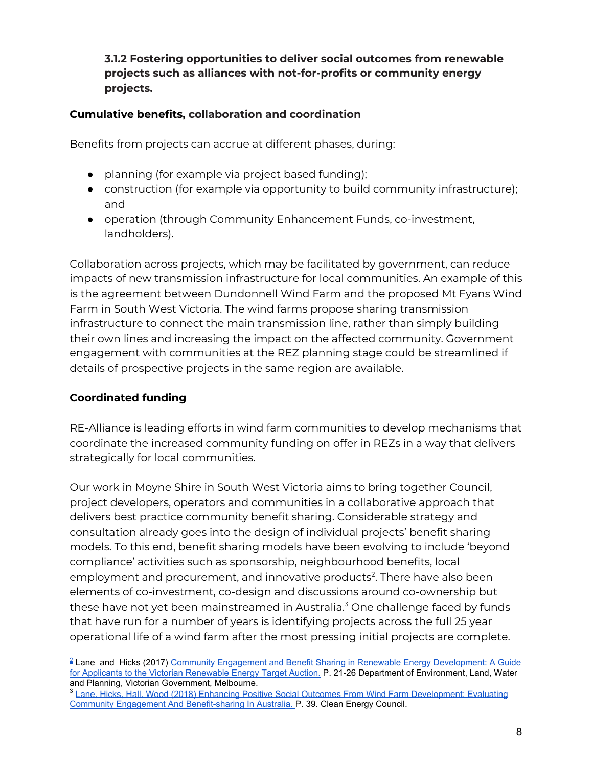**3.1.2 Fostering opportunities to deliver social outcomes from renewable projects such as alliances with not-for-profits or community energy projects.**

### **Cumulative benefits, collaboration and coordination**

Benefits from projects can accrue at different phases, during:

- planning (for example via project based funding);
- construction (for example via opportunity to build community infrastructure); and
- operation (through Community Enhancement Funds, co-investment, landholders).

Collaboration across projects, which may be facilitated by government, can reduce impacts of new transmission infrastructure for local communities. An example of this is the agreement between Dundonnell Wind Farm and the proposed Mt Fyans Wind Farm in South West Victoria. The wind farms propose sharing transmission infrastructure to connect the main transmission line, rather than simply building their own lines and increasing the impact on the affected community. Government engagement with communities at the REZ planning stage could be streamlined if details of prospective projects in the same region are available.

# **Coordinated funding**

RE-Alliance is leading efforts in wind farm communities to develop mechanisms that coordinate the increased community funding on offer in REZs in a way that delivers strategically for local communities.

Our work in Moyne Shire in South West Victoria aims to bring together Council, project developers, operators and communities in a collaborative approach that delivers best practice community benefit sharing. Considerable strategy and consultation already goes into the design of individual projects' benefit sharing models. To this end, benefit sharing models have been evolving to include 'beyond compliance' activities such as sponsorship, neighbourhood benefits, local employment and procurement, and innovative products 2 . There have also been elements of co-investment, co-design and discussions around co-ownership but these have not yet been mainstreamed in Australia. <sup>3</sup> One challenge faced by funds that have run for a number of years is identifying projects across the full 25 year operational life of a wind farm after the most pressing initial projects are complete.

<sup>3</sup> [Lane, Hicks, Hall, Wood \(2018\) Enhancing Positive Social Outcomes From Wind Farm Development: Evaluating](https://assets.cleanenergycouncil.org.au/documents/resources/reports/enhancing-positive-social-outcomes-from-wind-farm-development.pdf) [Community Engagement And Benefit-sharing In Australia.](https://assets.cleanenergycouncil.org.au/documents/resources/reports/enhancing-positive-social-outcomes-from-wind-farm-development.pdf) P. 39. Clean Energy Council.

<sup>&</sup>lt;sup>2</sup> Lane and Hicks (2017) [Community Engagement and Benefit Sharing in Renewable Energy Development: A Guide](https://www.energy.vic.gov.au/__data/assets/pdf_file/0027/91377/Community-Engagement-and-Benefit-Sharing-in-Renewable-Energy-Development.pdf) [for Applicants to the Victorian Renewable Energy Target Auction](https://www.energy.vic.gov.au/__data/assets/pdf_file/0027/91377/Community-Engagement-and-Benefit-Sharing-in-Renewable-Energy-Development.pdf). P. 21-26 Department of Environment, Land, Water and Planning, Victorian Government, Melbourne.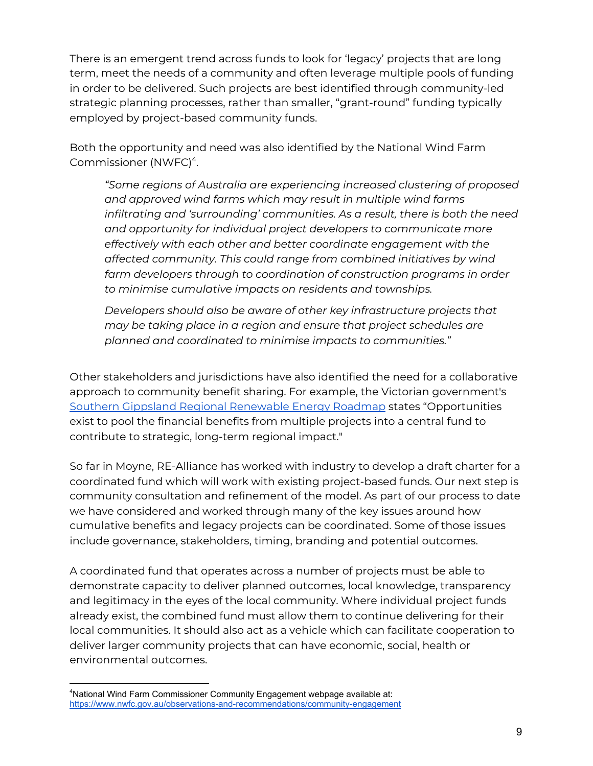There is an emergent trend across funds to look for 'legacy' projects that are long term, meet the needs of a community and often leverage multiple pools of funding in order to be delivered. Such projects are best identified through community-led strategic planning processes, rather than smaller, "grant-round" funding typically employed by project-based community funds.

Both the opportunity and need was also identified by the National Wind Farm Commissioner (NWFC) 4 .

*"Some regions of Australia are experiencing increased clustering of proposed and approved wind farms which may result in multiple wind farms infiltrating and 'surrounding' communities. As a result, there is both the need and opportunity for individual project developers to communicate more effectively with each other and better coordinate engagement with the affected community. This could range from combined initiatives by wind farm developers through to coordination of construction programs in order to minimise cumulative impacts on residents and townships.*

*Developers should also be aware of other key infrastructure projects that may be taking place in a region and ensure that project schedules are planned and coordinated to minimise impacts to communities."*

Other stakeholders and jurisdictions have also identified the need for a collaborative approach to community benefit sharing. For example, the Victorian government's Southern Gippsland Regional [Renewable](https://s3.ap-southeast-2.amazonaws.com/hdp.au.prod.app.vic-engage.files/6615/9002/7138/Roadmap-GippslandFinal.pdf) Energy Roadmap states "Opportunities exist to pool the financial benefits from multiple projects into a central fund to contribute to strategic, long-term regional impact."

So far in Moyne, RE-Alliance has worked with industry to develop a draft charter for a coordinated fund which will work with existing project-based funds. Our next step is community consultation and refinement of the model. As part of our process to date we have considered and worked through many of the key issues around how cumulative benefits and legacy projects can be coordinated. Some of those issues include governance, stakeholders, timing, branding and potential outcomes.

A coordinated fund that operates across a number of projects must be able to demonstrate capacity to deliver planned outcomes, local knowledge, transparency and legitimacy in the eyes of the local community. Where individual project funds already exist, the combined fund must allow them to continue delivering for their local communities. It should also act as a vehicle which can facilitate cooperation to deliver larger community projects that can have economic, social, health or environmental outcomes.

<sup>4</sup>National Wind Farm Commissioner Community Engagement webpage available at: <https://www.nwfc.gov.au/observations-and-recommendations/community-engagement>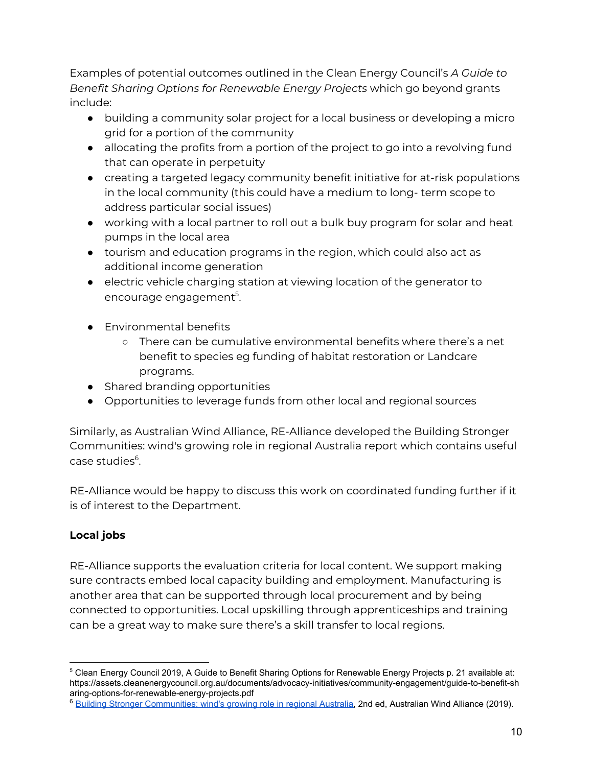Examples of potential outcomes outlined in the Clean Energy Council's *A Guide to Benefit Sharing Options for Renewable Energy Projects* which go beyond grants include:

- building a community solar project for a local business or developing a micro grid for a portion of the community
- allocating the profits from a portion of the project to go into a revolving fund that can operate in perpetuity
- creating a targeted legacy community benefit initiative for at-risk populations in the local community (this could have a medium to long- term scope to address particular social issues)
- working with a local partner to roll out a bulk buy program for solar and heat pumps in the local area
- tourism and education programs in the region, which could also act as additional income generation
- electric vehicle charging station at viewing location of the generator to encourage engagement 5 .
- Environmental benefits
	- There can be cumulative environmental benefits where there's a net benefit to species eg funding of habitat restoration or Landcare programs.
- Shared branding opportunities
- Opportunities to leverage funds from other local and regional sources

Similarly, as Australian Wind Alliance, RE-Alliance developed the Building [Stronger](https://d3n8a8pro7vhmx.cloudfront.net/vicwind/pages/1482/attachments/original/1523831528/AWA_2018_Wind_Energy_Building_Stronger_Communities_Report.pdf?1523831528) [Communities:](https://d3n8a8pro7vhmx.cloudfront.net/vicwind/pages/1482/attachments/original/1523831528/AWA_2018_Wind_Energy_Building_Stronger_Communities_Report.pdf?1523831528) wind's growing role in regional Australia report which contains useful case studies 6 .

RE-Alliance would be happy to discuss this work on coordinated funding further if it is of interest to the Department.

# **Local jobs**

RE-Alliance supports the evaluation criteria for local content. We support making sure contracts embed local capacity building and employment. Manufacturing is another area that can be supported through local procurement and by being connected to opportunities. Local upskilling through apprenticeships and training can be a great way to make sure there's a skill transfer to local regions.

<sup>&</sup>lt;sup>5</sup> Clean Energy Council 2019, A Guide to Benefit Sharing Options for Renewable Energy Projects p. 21 available at: [https://assets.cleanenergycouncil.org.au/documents/advocacy-initiatives/community-engagement/guide-to-benefit-sh](https://assets.cleanenergycouncil.org.au/documents/advocacy-initiatives/community-engagement/guide-to-benefit-sharing-options-for-renewable-energy-projects.pdf) [aring-options-for-renewable-energy-projects.pdf](https://assets.cleanenergycouncil.org.au/documents/advocacy-initiatives/community-engagement/guide-to-benefit-sharing-options-for-renewable-energy-projects.pdf)

<sup>6</sup> [Building Stronger Communities: wind's growing role in regional Australia,](https://d3n8a8pro7vhmx.cloudfront.net/vicwind/pages/2258/attachments/original/1574657246/AWA_Building_Stronger_Communities_Second_Edition_v04_SCREEN.pdf?1574657246) 2nd ed, Australian Wind Alliance (2019).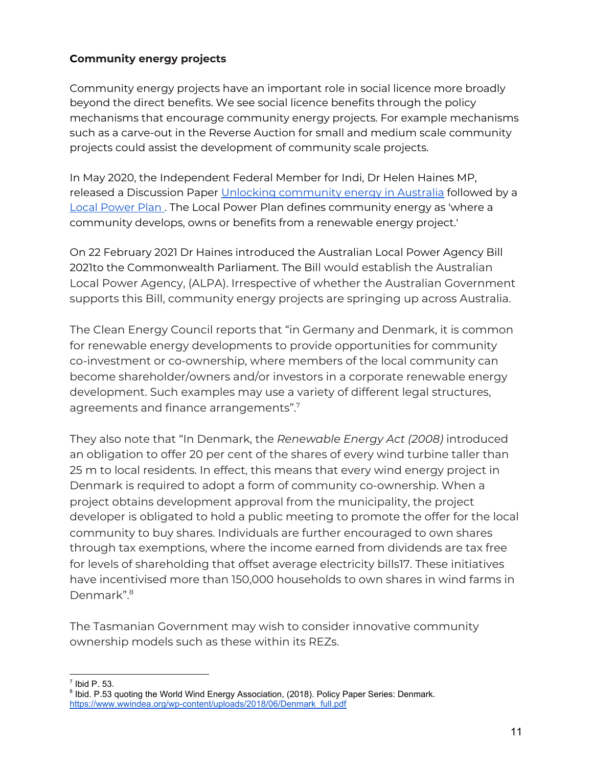# **Community energy projects**

Community energy projects have an important role in social licence more broadly beyond the direct benefits. We see social licence benefits through the policy mechanisms that encourage community energy projects. For example mechanisms such as a carve-out in the Reverse Auction for small and medium scale community projects could assist the development of community scale projects.

In May 2020, the Independent Federal Member for Indi, Dr Helen Haines MP, released a Discussion Paper Unlocking [community](https://storymaps.arcgis.com/stories/cb8b5b02f0054b43871a338074a4cb23) energy in Australia followed by a Local [Power](https://3363d2d4-0c73-49ab-a15e-8ec220a76141.filesusr.com/ugd/c2035c_89f382e44d71418f85683cea9bcfaa89.pdf) Plan. The Local Power Plan defines community energy as 'where a community develops, owns or benefits from a renewable energy project.'

On 22 February 2021 Dr Haines introduced the Australian Local Power Agency Bill 2021to the Commonwealth Parliament. The Bill would establish the Australian Local Power Agency, (ALPA). Irrespective of whether the Australian Government supports this Bill, community energy projects are springing up across Australia.

The Clean Energy Council reports that "in Germany and Denmark, it is common for renewable energy developments to provide opportunities for community co-investment or co-ownership, where members of the local community can become shareholder/owners and/or investors in a corporate renewable energy development. Such examples may use a variety of different legal structures, agreements and finance arrangements". 7

They also note that "In Denmark, the *Renewable Energy Act (2008)* introduced an obligation to offer 20 per cent of the shares of every wind turbine taller than 25 m to local residents. In effect, this means that every wind energy project in Denmark is required to adopt a form of community co-ownership. When a project obtains development approval from the municipality, the project developer is obligated to hold a public meeting to promote the offer for the local community to buy shares. Individuals are further encouraged to own shares through tax exemptions, where the income earned from dividends are tax free for levels of shareholding that offset average electricity bills17. These initiatives have incentivised more than 150,000 households to own shares in wind farms in Denmark". 8

The Tasmanian Government may wish to consider innovative community ownership models such as these within its REZs.

 $<sup>7</sup>$  Ibid P. 53.</sup>

<sup>&</sup>lt;sup>8</sup> Ibid. P.53 quoting the World Wind Energy Association, (2018). Policy Paper Series: Denmark. [https://www.wwindea.org/wp-content/uploads/2018/06/Denmark\\_full.pdf](https://www.wwindea.org/wp-content/uploads/2018/06/Denmark_full.pdf)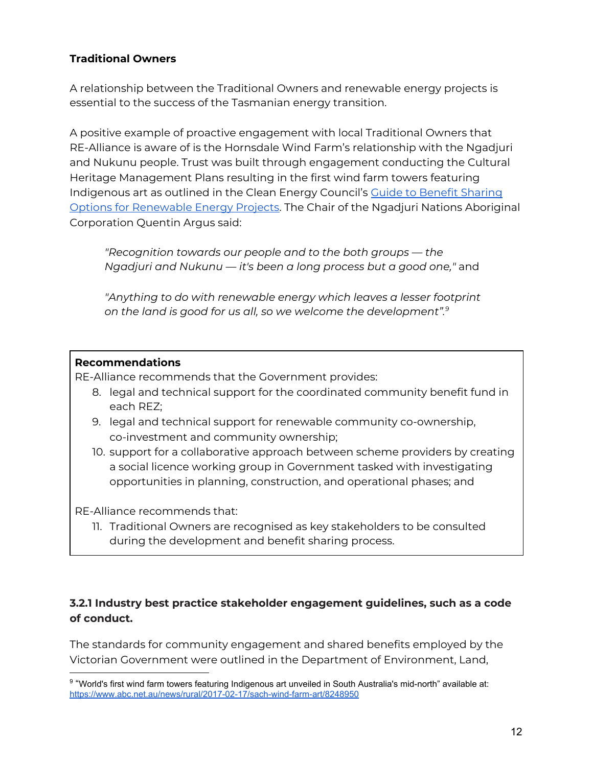# **Traditional Owners**

A relationship between the Traditional Owners and renewable energy projects is essential to the success of the Tasmanian energy transition.

A positive example of proactive engagement with local Traditional Owners that RE-Alliance is aware of is the Hornsdale Wind Farm's relationship with the Ngadjuri and Nukunu people. Trust was built through engagement conducting the Cultural Heritage Management Plans resulting in the first wind farm towers featuring Indigenous art as outlined in the Clean Energy Council's Guide to Benefit [Sharing](https://www.cleanenergycouncil.org.au/advocacy-initiatives/community-engagement/benefit-sharing-for-renewable-energy-projects) Options for [Renewable](https://www.cleanenergycouncil.org.au/advocacy-initiatives/community-engagement/benefit-sharing-for-renewable-energy-projects) Energy Projects. The Chair of the Ngadjuri Nations Aboriginal Corporation Quentin Argus said:

*"Recognition towards our people and to the both groups — the Ngadjuri and Nukunu — it's been a long process but a good one,"* and

*"Anything to do with renewable energy which leaves a lesser footprint on the land is good for us all, so we welcome the development". 9*

### **Recommendations**

RE-Alliance recommends that the Government provides:

- 8. legal and technical support for the coordinated community benefit fund in each REZ;
- 9. legal and technical support for renewable community co-ownership, co-investment and community ownership;
- 10. support for a collaborative approach between scheme providers by creating a social licence working group in Government tasked with investigating opportunities in planning, construction, and operational phases; and

RE-Alliance recommends that:

11. Traditional Owners are recognised as key stakeholders to be consulted during the development and benefit sharing process.

# **3.2.1 Industry best practice stakeholder engagement guidelines, such as a code of conduct.**

The standards for community engagement and shared benefits employed by the Victorian Government were outlined in the Department of Environment, Land,

<sup>9</sup> "World's first wind farm towers featuring Indigenous art unveiled in South Australia's mid-north" available at: <https://www.abc.net.au/news/rural/2017-02-17/sach-wind-farm-art/8248950>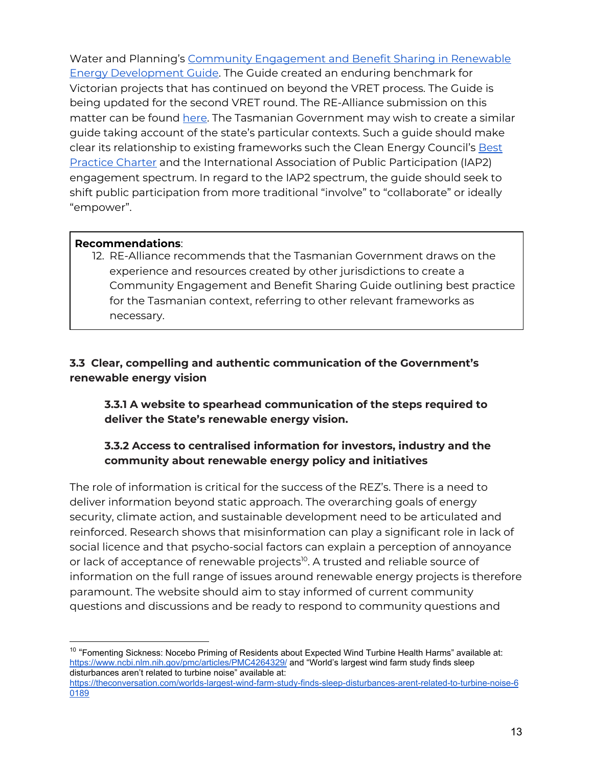Water and Planning's Community [Engagement](https://www.energy.vic.gov.au/__data/assets/pdf_file/0027/91377/Community-Engagement-and-Benefit-Sharing-in-Renewable-Energy-Development.pdf) and Benefit Sharing in Renewable Energy [Development](https://www.energy.vic.gov.au/__data/assets/pdf_file/0027/91377/Community-Engagement-and-Benefit-Sharing-in-Renewable-Energy-Development.pdf) Guide. The Guide created an enduring benchmark for Victorian projects that has continued on beyond the VRET process. The Guide is being updated for the second VRET round. The RE-Alliance submission on this matter can be found [here.](https://www.re-alliance.org.au/submission_consultation_paper_on_the_second_vret_auction) The Tasmanian Government may wish to create a similar guide taking account of the state's particular contexts. Such a guide should make clear its relationship to existing frameworks such the Clean Energy Council's [Best](https://www.cleanenergycouncil.org.au/advocacy-initiatives/community-engagement/best-practice-charter) [Practice](https://www.cleanenergycouncil.org.au/advocacy-initiatives/community-engagement/best-practice-charter) Charter and the International Association of Public Participation (IAP2) engagement spectrum. In regard to the IAP2 spectrum, the guide should seek to shift public participation from more traditional "involve" to "collaborate" or ideally "empower".

### **Recommendations**:

12. RE-Alliance recommends that the Tasmanian Government draws on the experience and resources created by other jurisdictions to create a Community Engagement and Benefit Sharing Guide outlining best practice for the Tasmanian context, referring to other relevant frameworks as necessary.

# **3.3 Clear, compelling and authentic communication of the Government's renewable energy vision**

**3.3.1 A website to spearhead communication of the steps required to deliver the State's renewable energy vision.**

# **3.3.2 Access to centralised information for investors, industry and the community about renewable energy policy and initiatives**

The role of information is critical for the success of the REZ's. There is a need to deliver information beyond static approach. The overarching goals of energy security, climate action, and sustainable development need to be articulated and reinforced. Research shows that misinformation can play a significant role in lack of social licence and that psycho-social factors can explain a perception of annoyance or lack of acceptance of renewable projects<sup>10</sup>. A trusted and reliable source of information on the full range of issues around renewable energy projects is therefore paramount. The website should aim to stay informed of current community questions and discussions and be ready to respond to community questions and

 $10$  "Fomenting Sickness: Nocebo Priming of Residents about Expected Wind Turbine Health Harms" available at: <https://www.ncbi.nlm.nih.gov/pmc/articles/PMC4264329/> and "World's largest wind farm study finds sleep disturbances aren't related to turbine noise" available at:

[https://theconversation.com/worlds-largest-wind-farm-study-finds-sleep-disturbances-arent-related-to-turbine-noise-6](https://theconversation.com/worlds-largest-wind-farm-study-finds-sleep-disturbances-arent-related-to-turbine-noise-60189) [0189](https://theconversation.com/worlds-largest-wind-farm-study-finds-sleep-disturbances-arent-related-to-turbine-noise-60189)